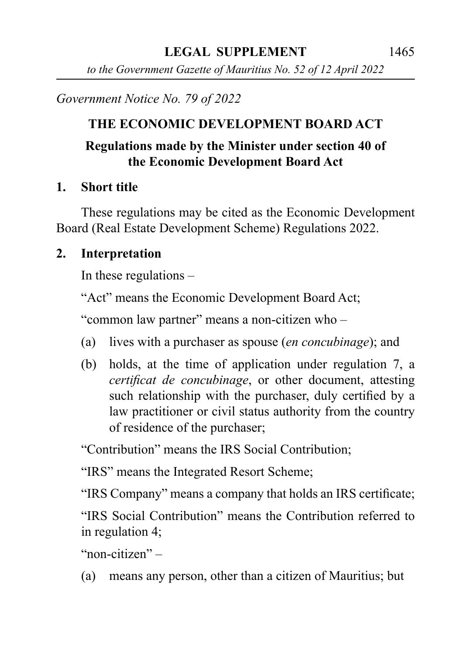*to the Government Gazette of Mauritius No. 52 of 12 April 2022*

*Government Notice No. 79 of 2022*

#### **THE ECONOMIC DEVELOPMENT BOARD ACT**

#### **Regulations made by the Minister under section 40 of the Economic Development Board Act**

#### **1. Short title**

These regulations may be cited as the Economic Development Board (Real Estate Development Scheme) Regulations 2022.

#### **2. Interpretation**

In these regulations –

"Act" means the Economic Development Board Act;

"common law partner" means a non-citizen who –

- (a) lives with a purchaser as spouse (*en concubinage*); and
- (b) holds, at the time of application under regulation 7, a *certificat de concubinage*, or other document, attesting such relationship with the purchaser, duly certified by a law practitioner or civil status authority from the country of residence of the purchaser;

"Contribution" means the IRS Social Contribution;

"IRS" means the Integrated Resort Scheme;

"IRS Company" means a company that holds an IRS certificate;

"IRS Social Contribution" means the Contribution referred to in regulation 4;

"non-citizen" –

(a) means any person, other than a citizen of Mauritius; but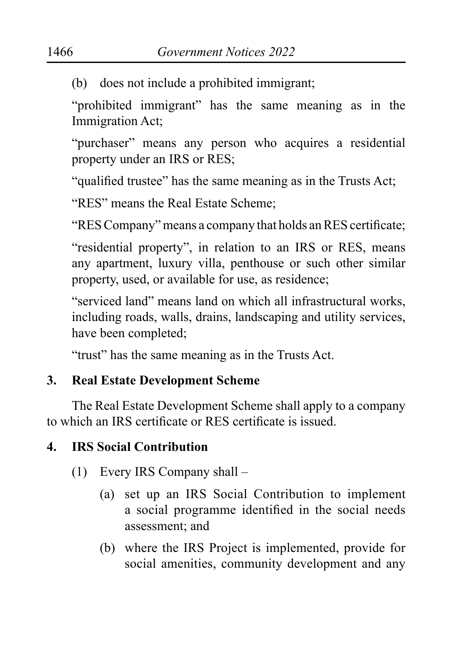(b) does not include a prohibited immigrant;

"prohibited immigrant" has the same meaning as in the Immigration Act;

"purchaser" means any person who acquires a residential property under an IRS or RES;

"qualified trustee" has the same meaning as in the Trusts Act;

"RES" means the Real Estate Scheme;

"RES Company" means a company that holds an RES certificate;

"residential property", in relation to an IRS or RES, means any apartment, luxury villa, penthouse or such other similar property, used, or available for use, as residence;

"serviced land" means land on which all infrastructural works, including roads, walls, drains, landscaping and utility services, have been completed;

"trust" has the same meaning as in the Trusts Act.

## **3. Real Estate Development Scheme**

The Real Estate Development Scheme shall apply to a company to which an IRS certificate or RES certificate is issued.

# **4. IRS Social Contribution**

- (1) Every IRS Company shall
	- (a) set up an IRS Social Contribution to implement a social programme identified in the social needs assessment; and
	- (b) where the IRS Project is implemented, provide for social amenities, community development and any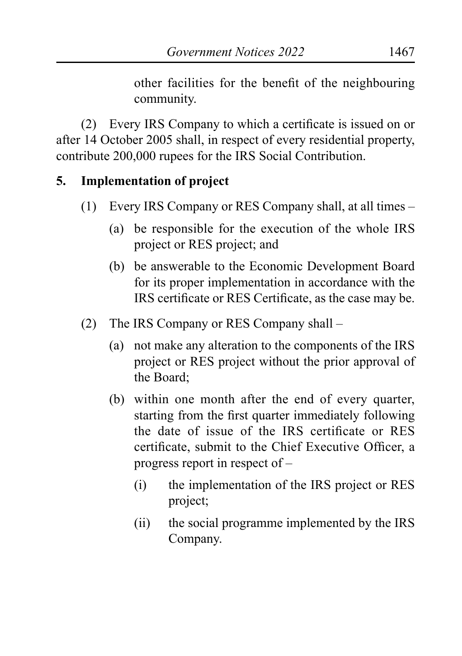other facilities for the benefit of the neighbouring community.

(2) Every IRS Company to which a certificate is issued on or after 14 October 2005 shall, in respect of every residential property, contribute 200,000 rupees for the IRS Social Contribution.

### **5. Implementation of project**

- (1) Every IRS Company or RES Company shall, at all times
	- (a) be responsible for the execution of the whole IRS project or RES project; and
	- (b) be answerable to the Economic Development Board for its proper implementation in accordance with the IRS certificate or RES Certificate, as the case may be.
- (2) The IRS Company or RES Company shall
	- (a) not make any alteration to the components of the IRS project or RES project without the prior approval of the Board;
	- (b) within one month after the end of every quarter, starting from the first quarter immediately following the date of issue of the IRS certificate or RES certificate, submit to the Chief Executive Officer, a progress report in respect of –
		- (i) the implementation of the IRS project or RES project;
		- (ii) the social programme implemented by the IRS Company.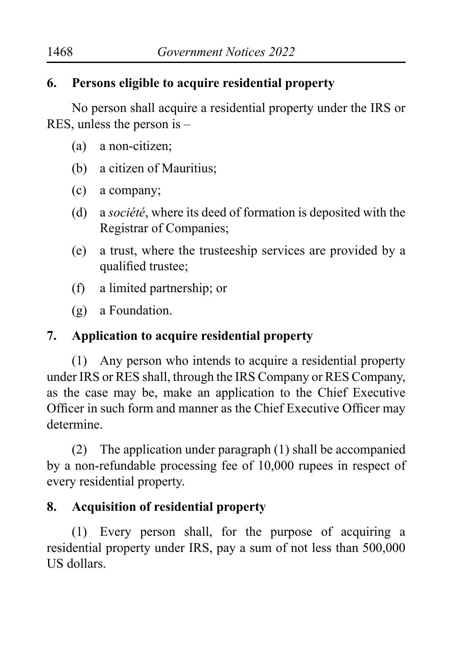## **6. Persons eligible to acquire residential property**

No person shall acquire a residential property under the IRS or RES, unless the person is –

- (a) a non-citizen;
- (b) a citizen of Mauritius;
- (c) a company;
- (d) a *société*, where its deed of formation is deposited with the Registrar of Companies;
- (e) a trust, where the trusteeship services are provided by a qualified trustee;
- (f) a limited partnership; or
- (g) a Foundation.

## **7. Application to acquire residential property**

(1) Any person who intends to acquire a residential property under IRS or RES shall, through the IRS Company or RES Company, as the case may be, make an application to the Chief Executive Officer in such form and manner as the Chief Executive Officer may determine.

(2) The application under paragraph (1) shall be accompanied by a non-refundable processing fee of 10,000 rupees in respect of every residential property.

# **8. Acquisition of residential property**

(1) Every person shall, for the purpose of acquiring a residential property under IRS, pay a sum of not less than 500,000 US dollars.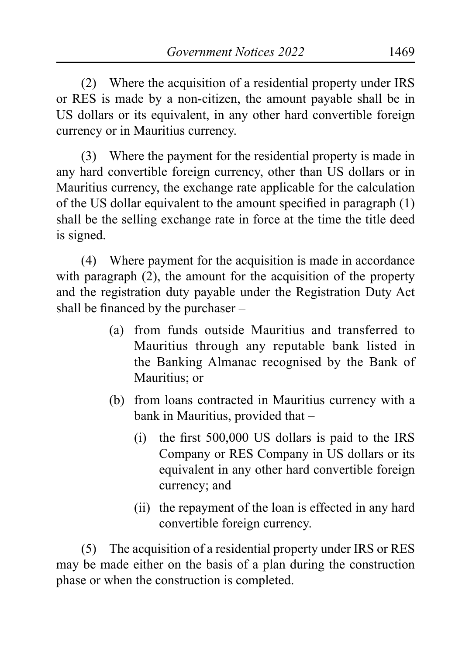(2) Where the acquisition of a residential property under IRS or RES is made by a non-citizen, the amount payable shall be in US dollars or its equivalent, in any other hard convertible foreign currency or in Mauritius currency.

(3) Where the payment for the residential property is made in any hard convertible foreign currency, other than US dollars or in Mauritius currency, the exchange rate applicable for the calculation of the US dollar equivalent to the amount specified in paragraph (1) shall be the selling exchange rate in force at the time the title deed is signed.

(4) Where payment for the acquisition is made in accordance with paragraph (2), the amount for the acquisition of the property and the registration duty payable under the Registration Duty Act shall be financed by the purchaser –

- (a) from funds outside Mauritius and transferred to Mauritius through any reputable bank listed in the Banking Almanac recognised by the Bank of Mauritius; or
- (b) from loans contracted in Mauritius currency with a bank in Mauritius, provided that –
	- (i) the first 500,000 US dollars is paid to the IRS Company or RES Company in US dollars or its equivalent in any other hard convertible foreign currency; and
	- (ii) the repayment of the loan is effected in any hard convertible foreign currency.

(5) The acquisition of a residential property under IRS or RES may be made either on the basis of a plan during the construction phase or when the construction is completed.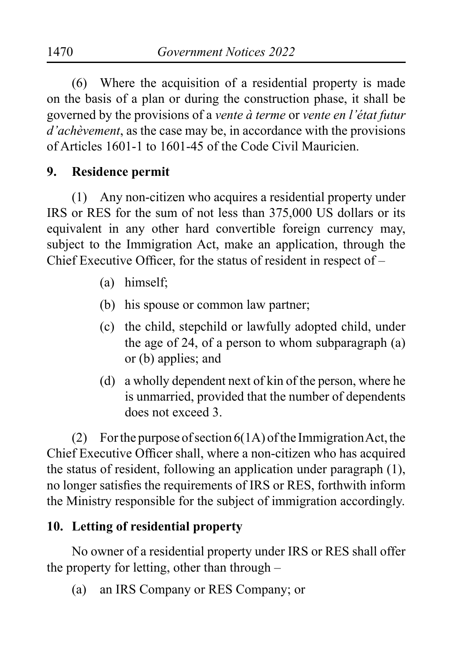(6) Where the acquisition of a residential property is made on the basis of a plan or during the construction phase, it shall be governed by the provisions of a *vente à terme* or *vente en l'état futur d'achèvement*, as the case may be, in accordance with the provisions of Articles 1601-1 to 1601-45 of the Code Civil Mauricien.

### **9. Residence permit**

(1) Any non-citizen who acquires a residential property under IRS or RES for the sum of not less than 375,000 US dollars or its equivalent in any other hard convertible foreign currency may, subject to the Immigration Act, make an application, through the Chief Executive Officer, for the status of resident in respect of –

- (a) himself;
- (b) his spouse or common law partner;
- (c) the child, stepchild or lawfully adopted child, under the age of 24, of a person to whom subparagraph (a) or (b) applies; and
- (d) a wholly dependent next of kin of the person, where he is unmarried, provided that the number of dependents does not exceed 3.

(2) For the purpose of section 6(1A) of the Immigration Act, the Chief Executive Officer shall, where a non-citizen who has acquired the status of resident, following an application under paragraph (1), no longer satisfies the requirements of IRS or RES, forthwith inform the Ministry responsible for the subject of immigration accordingly.

### **10. Letting of residential property**

No owner of a residential property under IRS or RES shall offer the property for letting, other than through –

(a) an IRS Company or RES Company; or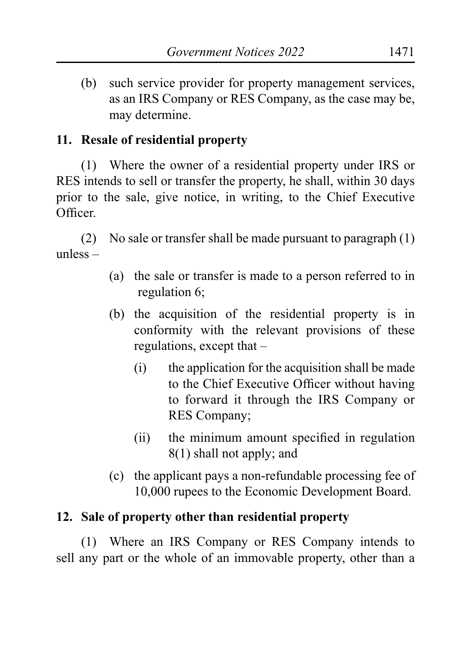(b) such service provider for property management services, as an IRS Company or RES Company, as the case may be, may determine.

### **11. Resale of residential property**

(1) Where the owner of a residential property under IRS or RES intends to sell or transfer the property, he shall, within 30 days prior to the sale, give notice, in writing, to the Chief Executive Officer.

(2) No sale or transfer shall be made pursuant to paragraph (1) unless –

- (a) the sale or transfer is made to a person referred to in regulation 6;
- (b) the acquisition of the residential property is in conformity with the relevant provisions of these regulations, except that –
	- (i) the application for the acquisition shall be made to the Chief Executive Officer without having to forward it through the IRS Company or RES Company;
	- (ii) the minimum amount specified in regulation 8(1) shall not apply; and
- (c) the applicant pays a non-refundable processing fee of 10,000 rupees to the Economic Development Board.

## **12. Sale of property other than residential property**

(1) Where an IRS Company or RES Company intends to sell any part or the whole of an immovable property, other than a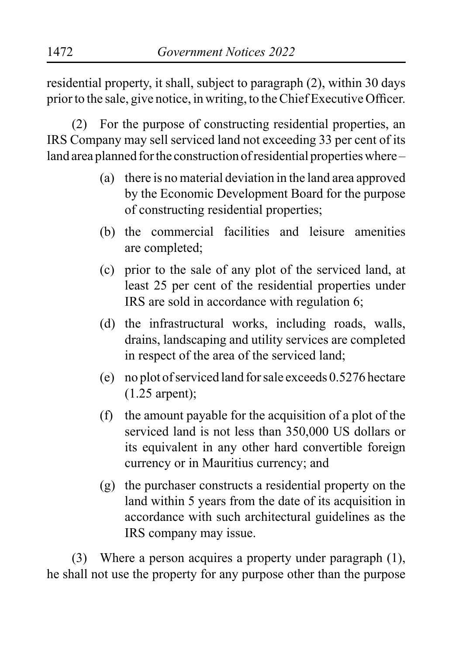residential property, it shall, subject to paragraph (2), within 30 days prior to the sale, give notice, in writing, to the Chief Executive Officer.

(2) For the purpose of constructing residential properties, an IRS Company may sell serviced land not exceeding 33 per cent of its land area planned for the construction of residential properties where –

- (a) there is no material deviation in the land area approved by the Economic Development Board for the purpose of constructing residential properties;
- (b) the commercial facilities and leisure amenities are completed;
- (c) prior to the sale of any plot of the serviced land, at least 25 per cent of the residential properties under IRS are sold in accordance with regulation 6;
- (d) the infrastructural works, including roads, walls, drains, landscaping and utility services are completed in respect of the area of the serviced land;
- (e) no plot of serviced land for sale exceeds 0.5276 hectare (1.25 arpent);
- (f) the amount payable for the acquisition of a plot of the serviced land is not less than 350,000 US dollars or its equivalent in any other hard convertible foreign currency or in Mauritius currency; and
- (g) the purchaser constructs a residential property on the land within 5 years from the date of its acquisition in accordance with such architectural guidelines as the IRS company may issue.

(3) Where a person acquires a property under paragraph (1), he shall not use the property for any purpose other than the purpose